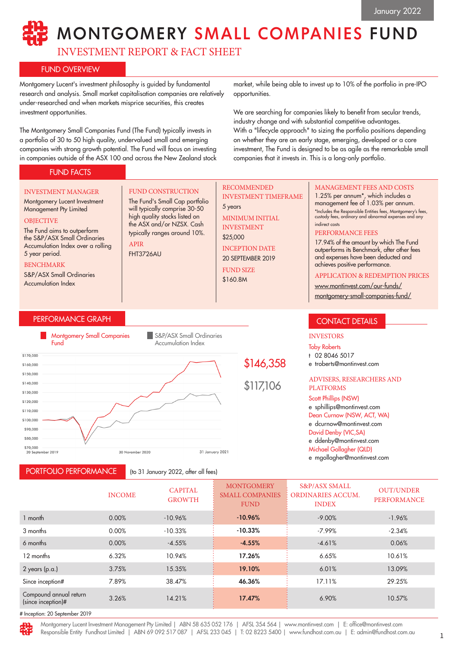## MONTGOMERY SMALL COMPANIES FUND

INVESTMENT REPORT & FACT SHEET

### FUND OVERVIEW

FUND FACTS

Montgomery Lucent's investment philosophy is guided by fundamental research and analysis. Small market capitalisation companies are relatively under-researched and when markets misprice securities, this creates investment opportunities.

The Montgomery Small Companies Fund (The Fund) typically invests in a portfolio of 30 to 50 high quality, undervalued small and emerging companies with strong growth potential. The Fund will focus on investing in companies outside of the ASX 100 and across the New Zealand stock

market, while being able to invest up to 10% of the portfolio in pre-IPO opportunities.

We are searching for companies likely to benefit from secular trends, industry change and with substantial competitive advantages. With a "lifecycle approach" to sizing the portfolio positions depending on whether they are an early stage, emerging, developed or a core investment, The Fund is designed to be as agile as the remarkable small companies that it invests in. This is a long-only portfolio.

#### PERFORMANCE GRAPH INVESTMENT MANAGER Montgomery Lucent Investment Management Pty Limited **OBJECTIVE** The Fund aims to outperform the S&P/ASX Small Ordinaries Accumulation Index over a rolling 5 year period. BENCHMARK S&P/ASX Small Ordinaries Accumulation Index FUND CONSTRUCTION The Fund's Small Cap portfolio will typically comprise 30-50 high quality stocks listed on the ASX and/or NZSX. Cash typically ranges around 10%. APIR FHT3726AU MANAGEMENT FEES AND COSTS 1.25% per annum\*, which includes a management fee of 1.03% per annum. \*Includes the Responsible Entities fees, Montgomery's fees, custody fees, ordinary and abnormal expenses and any indirect costs PERFORMANCE FEES 17.94% of the amount by which The Fund outperforms its Benchmark, after other fees and expenses have been deducted and achieves positive performance. APPLICATION & REDEMPTION PRICES www.montinvest.com/our-funds/ montgomery-small-companies-fund/ RECOMMENDED INVESTMENT TIMEFRAME 5 years MINIMUM INITIAL INVESTMENT \$25,000 INCEPTION DATE 20 SEPTEMBER 2019 FUND SIZE \$160.8M CONTACT DETAILS



PORTFOLIO PERFORMANCE

(to 31 January 2022, after all fees)

# \$146,358

Scott Phillips (NSW) e sphillips@montinvest.com Dean Curnow (NSW, ACT, WA) e dcurnow@montinvest.com David Denby (VIC,SA) e ddenby@montinvest.com Michael Gollagher (QLD)

e troberts@montinvest.com

ADVISERS, RESEARCHERS AND

INVESTORS Toby Roberts t 02 8046 5017

PLATFORMS

e mgollagher@montinvest.com

|                                              | <b>INCOME</b> | <b>CAPITAL</b><br><b>GROWTH</b> | <b>MONTGOMERY</b><br><b>SMALL COMPANIES</b><br><b>FUND</b> | <b>S&amp;P/ASX SMALL</b><br>ORDINARIES ACCUM.<br><b>INDEX</b> | <b>OUT/UNDER</b><br><b>PERFORMANCE</b> |
|----------------------------------------------|---------------|---------------------------------|------------------------------------------------------------|---------------------------------------------------------------|----------------------------------------|
| 1 month                                      | 0.00%         | $-10.96%$                       | $-10.96%$                                                  | $-9.00%$                                                      | $-1.96%$                               |
| 3 months                                     | 0.00%         | $-10.33%$                       | $-10.33%$                                                  | $-7.99%$                                                      | $-2.34%$                               |
| 6 months                                     | 0.00%         | $-4.55%$                        | $-4.55%$                                                   | $-4.61%$                                                      | 0.06%                                  |
| 12 months                                    | 6.32%         | 10.94%                          | 17.26%                                                     | 6.65%                                                         | 10.61%                                 |
| $2$ years (p.a.)                             | 3.75%         | 15.35%                          | 19.10%                                                     | 6.01%                                                         | 13.09%                                 |
| Since inception#                             | 7.89%         | 38.47%                          | 46.36%                                                     | 17.11%                                                        | 29.25%                                 |
| Compound annual return<br>(since inception)# | 3.26%         | 14.21%                          | 17.47%                                                     | 6.90%                                                         | 10.57%                                 |
| 4 Incention: 30 Contember 2010               |               |                                 |                                                            |                                                               |                                        |

tion: 20 September 2019

Montgomery Lucent Investment Management Pty Limited | ABN 58 635 052 176 | AFSL 354 564 | www.montinvest.com | E: office@montinvest.com Responsible Entity Fundhost Limited | ABN 69 092 517 087 | AFSL 233 045 | T: 02 8223 5400 | www.fundhost.com.au | E: admin@fundhost.com.au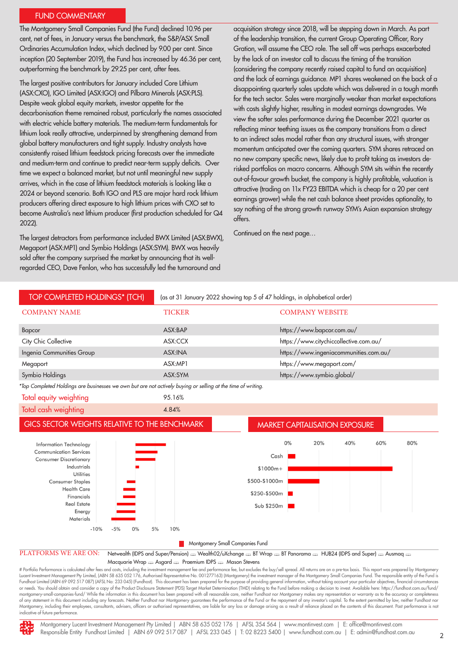### FUND COMMENTARY

The Montgomery Small Companies Fund (the Fund) declined 10.96 per cent, net of fees, in January versus the benchmark, the S&P/ASX Small Ordinaries Accumulation Index, which declined by 9.00 per cent. Since inception (20 September 2019), the Fund has increased by 46.36 per cent, outperforming the benchmark by 29.25 per cent, after fees.

The largest positive contributors for January included Core Lithium (ASX:CXO), IGO Limited (ASX:IGO) and Pilbara Minerals (ASX:PLS). Despite weak global equity markets, investor appetite for the decarbonisation theme remained robust, particularly the names associated with electric vehicle battery materials. The medium-term fundamentals for lithium look really attractive, underpinned by strengthening demand from global battery manufacturers and tight supply. Industry analysts have consistently raised lithium feedstock pricing forecasts over the immediate and medium-term and continue to predict near-term supply deficits. Over time we expect a balanced market, but not until meaningful new supply arrives, which in the case of lithium feedstock materials is looking like a 2024 or beyond scenario. Both IGO and PLS are major hard rock lithium producers offering direct exposure to high lithium prices with CXO set to become Australia's next lithium producer (first production scheduled for Q4 2022).

The largest detractors from performance included BWX Limited (ASX:BWX), Megaport (ASX:MP1) and Symbio Holdings (ASX:SYM). BWX was heavily sold after the company surprised the market by announcing that its wellregarded CEO, Dave Fenlon, who has successfully led the turnaround and

acquisition strategy since 2018, will be stepping down in March. As part of the leadership transition, the current Group Operating Officer, Rory Gration, will assume the CEO role. The sell off was perhaps exacerbated by the lack of an investor call to discuss the timing of the transition (considering the company recently raised capital to fund an acquisition) and the lack of earnings guidance. MP1 shares weakened on the back of a disappointing quarterly sales update which was delivered in a tough month for the tech sector. Sales were marginally weaker than market expectations with costs slightly higher, resulting in modest earnings downgrades. We view the softer sales performance during the December 2021 quarter as reflecting minor teething issues as the company transitions from a direct to an indirect sales model rather than any structural issues, with stronger momentum anticipated over the coming quarters. SYM shares retraced on no new company specific news, likely due to profit taking as investors derisked portfolios on macro concerns. Although SYM sits within the recently out-of-favour growth bucket, the company is highly profitable, valuation is attractive (trading on 11x FY23 EBITDA which is cheap for a 20 per cent earnings grower) while the net cash balance sheet provides optionality, to say nothing of the strong growth runway SYM's Asian expansion strategy offers.

Continued on the next page…



# Portfolio Performance is calculated after fees and costs, including the investment management fee and performance fee, but excludes the buy/sell spread. All returns are on a pre-tax basis. This report was prepared by Mon Lucent Investment Management Pty Limited, (ABN 58 635 052 176, Authorised Representative No. 001277163) (Montgomery) the investment manager of the Montgomery Small Companies Fund. The responsible entity of the Fund is Fundhost Limited (ABN 69 092 517 087) (AFSL No: 233 045) (Fundhost). This document has been prepared for the purpose of providing general information, without taking account your particular objectives, financial circumstan or needs. You should obtain and consider a copy of the Product Disclosure Statement (PDS) Target Market Determination (TMD) relating to the Fund before making a decision to invest. Available here: https://fundhost.com.au/f montgomery-small-companies-fund/ While the information in this document has been prepared with all reasonable care, neither Fundhost nor Montgomery makes any representation or warranty as to the accuracy or completeness of any statement in this document including any forecasts. Neither Fundhost nor Montgomery guarantees the performance of the Fund or the repayment of any investor's capital. To the extent permitted by law, neither Fundhost Montgomery, including their employees, consultants, advisers, officers or authorised representatives, are liable for any loss or damage arising as a result of reliance placed on the contents of this document. Past performa indicative of future performance.